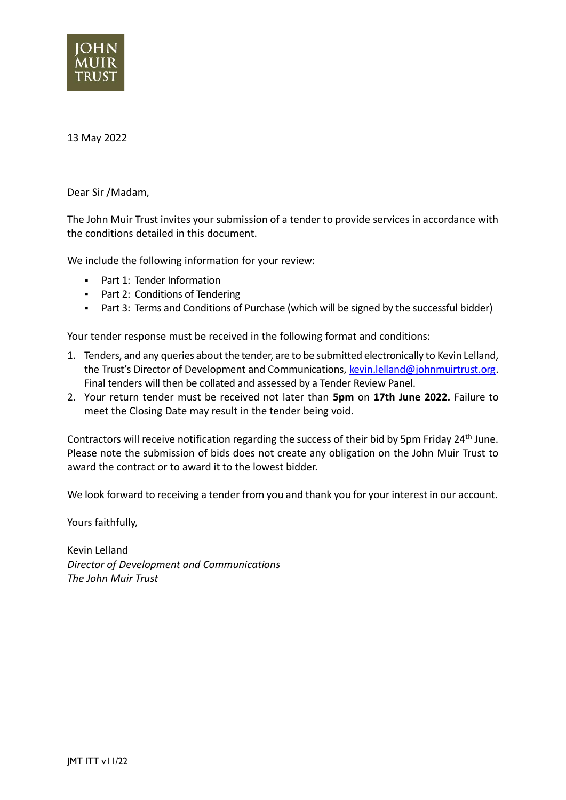

### 13 May 2022

Dear Sir /Madam,

The John Muir Trust invites your submission of a tender to provide services in accordance with the conditions detailed in this document.

We include the following information for your review:

- Part 1: Tender Information
- Part 2: Conditions of Tendering
- Part 3: Terms and Conditions of Purchase (which will be signed by the successful bidder)

Your tender response must be received in the following format and conditions:

- 1. Tenders, and any queries about the tender, are to be submitted electronically to Kevin Lelland, the Trust's Director of Development and Communications, [kevin.lelland@johnmuirtrust.org.](mailto:kevin.lelland@johnmuirtrust.org) Final tenders will then be collated and assessed by a Tender Review Panel.
- 2. Your return tender must be received not later than **5pm** on **17th June 2022.** Failure to meet the Closing Date may result in the tender being void.

Contractors will receive notification regarding the success of their bid by 5pm Friday 24<sup>th</sup> June. Please note the submission of bids does not create any obligation on the John Muir Trust to award the contract or to award it to the lowest bidder.

We look forward to receiving a tender from you and thank you for your interest in our account.

Yours faithfully,

Kevin Lelland *Director of Development and Communications The John Muir Trust*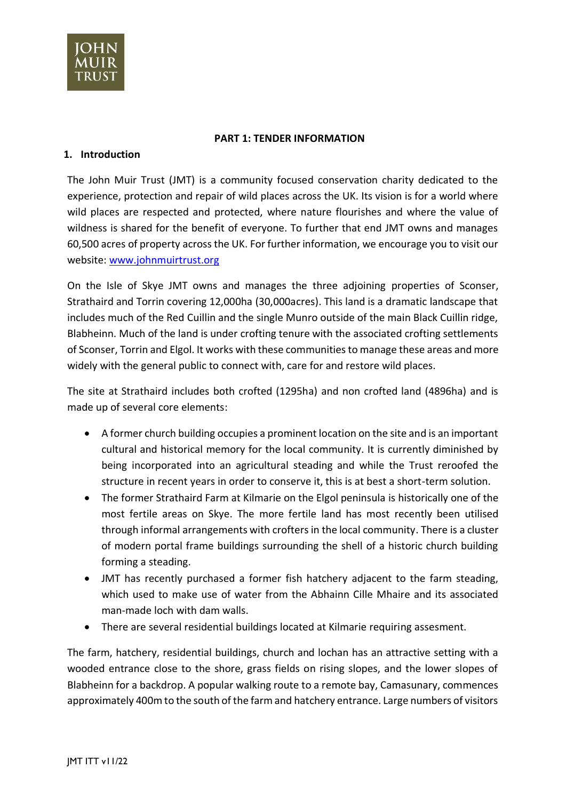

#### **PART 1: TENDER INFORMATION**

### **1. Introduction**

The John Muir Trust (JMT) is a community focused conservation charity dedicated to the experience, protection and repair of wild places across the UK. Its vision is for a world where wild places are respected and protected, where nature flourishes and where the value of wildness is shared for the benefit of everyone. To further that end JMT owns and manages 60,500 acres of property across the UK. For further information, we encourage you to visit our website: [www.johnmuirtrust.org](http://www.johnmuirtrust.org/)

On the Isle of Skye JMT owns and manages the three adjoining properties of Sconser, Strathaird and Torrin covering 12,000ha (30,000acres). This land is a dramatic landscape that includes much of the Red Cuillin and the single Munro outside of the main Black Cuillin ridge, Blabheinn. Much of the land is under crofting tenure with the associated crofting settlements of Sconser, Torrin and Elgol. It works with these communities to manage these areas and more widely with the general public to connect with, care for and restore wild places.

The site at Strathaird includes both crofted (1295ha) and non crofted land (4896ha) and is made up of several core elements:

- A former church building occupies a prominent location on the site and is an important cultural and historical memory for the local community. It is currently diminished by being incorporated into an agricultural steading and while the Trust reroofed the structure in recent years in order to conserve it, this is at best a short-term solution.
- The former Strathaird Farm at Kilmarie on the Elgol peninsula is historically one of the most fertile areas on Skye. The more fertile land has most recently been utilised through informal arrangements with crofters in the local community. There is a cluster of modern portal frame buildings surrounding the shell of a historic church building forming a steading.
- JMT has recently purchased a former fish hatchery adjacent to the farm steading, which used to make use of water from the Abhainn Cille Mhaire and its associated man-made loch with dam walls.
- There are several residential buildings located at Kilmarie requiring assesment.

The farm, hatchery, residential buildings, church and lochan has an attractive setting with a wooded entrance close to the shore, grass fields on rising slopes, and the lower slopes of Blabheinn for a backdrop. A popular walking route to a remote bay, Camasunary, commences approximately 400m to the south of the farm and hatchery entrance. Large numbers of visitors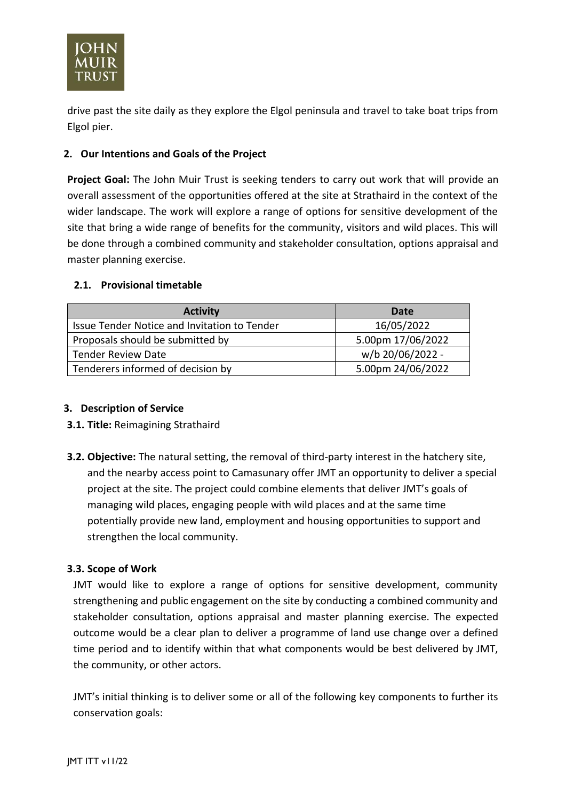

drive past the site daily as they explore the Elgol peninsula and travel to take boat trips from Elgol pier.

# **2. Our Intentions and Goals of the Project**

**Project Goal:** The John Muir Trust is seeking tenders to carry out work that will provide an overall assessment of the opportunities offered at the site at Strathaird in the context of the wider landscape. The work will explore a range of options for sensitive development of the site that bring a wide range of benefits for the community, visitors and wild places. This will be done through a combined community and stakeholder consultation, options appraisal and master planning exercise.

## **2.1. Provisional timetable**

| <b>Activity</b>                              | Date              |
|----------------------------------------------|-------------------|
| Issue Tender Notice and Invitation to Tender | 16/05/2022        |
| Proposals should be submitted by             | 5.00pm 17/06/2022 |
| <b>Tender Review Date</b>                    | w/b 20/06/2022 -  |
| Tenderers informed of decision by            | 5.00pm 24/06/2022 |

## **3. Description of Service**

- **3.1. Title:** Reimagining Strathaird
- **3.2. Objective:** The natural setting, the removal of third-party interest in the hatchery site, and the nearby access point to Camasunary offer JMT an opportunity to deliver a special project at the site. The project could combine elements that deliver JMT's goals of managing wild places, engaging people with wild places and at the same time potentially provide new land, employment and housing opportunities to support and strengthen the local community.

## **3.3. Scope of Work**

JMT would like to explore a range of options for sensitive development, community strengthening and public engagement on the site by conducting a combined community and stakeholder consultation, options appraisal and master planning exercise. The expected outcome would be a clear plan to deliver a programme of land use change over a defined time period and to identify within that what components would be best delivered by JMT, the community, or other actors.

JMT's initial thinking is to deliver some or all of the following key components to further its conservation goals: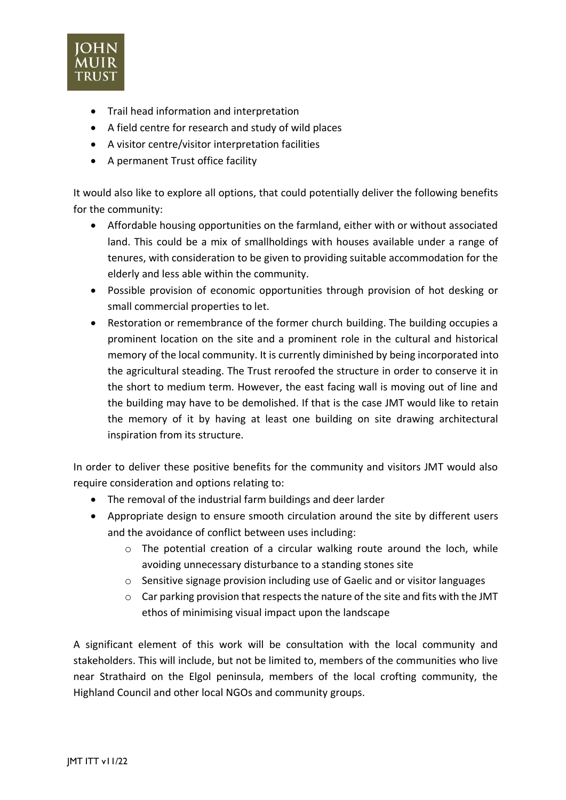

- Trail head information and interpretation
- A field centre for research and study of wild places
- A visitor centre/visitor interpretation facilities
- A permanent Trust office facility

It would also like to explore all options, that could potentially deliver the following benefits for the community:

- Affordable housing opportunities on the farmland, either with or without associated land. This could be a mix of smallholdings with houses available under a range of tenures, with consideration to be given to providing suitable accommodation for the elderly and less able within the community.
- Possible provision of economic opportunities through provision of hot desking or small commercial properties to let.
- Restoration or remembrance of the former church building. The building occupies a prominent location on the site and a prominent role in the cultural and historical memory of the local community. It is currently diminished by being incorporated into the agricultural steading. The Trust reroofed the structure in order to conserve it in the short to medium term. However, the east facing wall is moving out of line and the building may have to be demolished. If that is the case JMT would like to retain the memory of it by having at least one building on site drawing architectural inspiration from its structure.

In order to deliver these positive benefits for the community and visitors JMT would also require consideration and options relating to:

- The removal of the industrial farm buildings and deer larder
- Appropriate design to ensure smooth circulation around the site by different users and the avoidance of conflict between uses including:
	- o The potential creation of a circular walking route around the loch, while avoiding unnecessary disturbance to a standing stones site
	- $\circ$  Sensitive signage provision including use of Gaelic and or visitor languages
	- o Car parking provision that respects the nature of the site and fits with the JMT ethos of minimising visual impact upon the landscape

A significant element of this work will be consultation with the local community and stakeholders. This will include, but not be limited to, members of the communities who live near Strathaird on the Elgol peninsula, members of the local crofting community, the Highland Council and other local NGOs and community groups.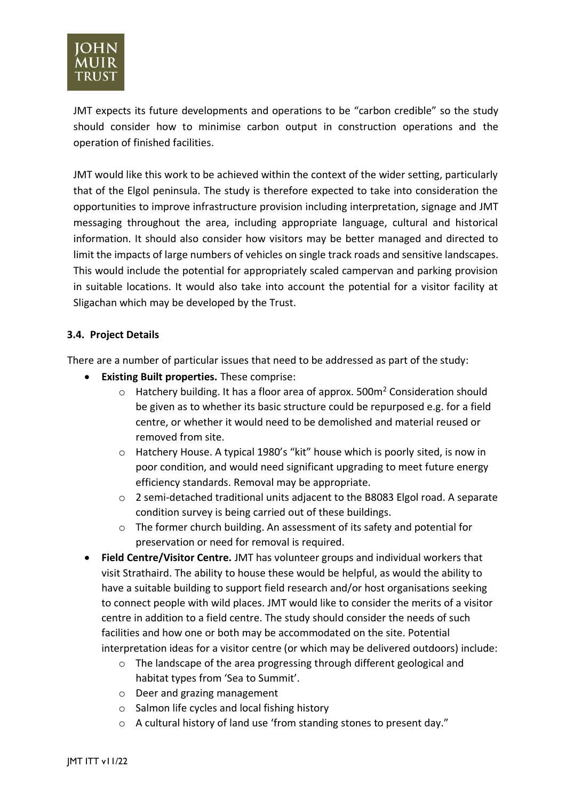

JMT expects its future developments and operations to be "carbon credible" so the study should consider how to minimise carbon output in construction operations and the operation of finished facilities.

JMT would like this work to be achieved within the context of the wider setting, particularly that of the Elgol peninsula. The study is therefore expected to take into consideration the opportunities to improve infrastructure provision including interpretation, signage and JMT messaging throughout the area, including appropriate language, cultural and historical information. It should also consider how visitors may be better managed and directed to limit the impacts of large numbers of vehicles on single track roads and sensitive landscapes. This would include the potential for appropriately scaled campervan and parking provision in suitable locations. It would also take into account the potential for a visitor facility at Sligachan which may be developed by the Trust.

## **3.4. Project Details**

There are a number of particular issues that need to be addressed as part of the study:

- **Existing Built properties.** These comprise:
	- $\circ$  Hatchery building. It has a floor area of approx. 500m<sup>2</sup> Consideration should be given as to whether its basic structure could be repurposed e.g. for a field centre, or whether it would need to be demolished and material reused or removed from site.
	- o Hatchery House. A typical 1980's "kit" house which is poorly sited, is now in poor condition, and would need significant upgrading to meet future energy efficiency standards. Removal may be appropriate.
	- o 2 semi-detached traditional units adjacent to the B8083 Elgol road. A separate condition survey is being carried out of these buildings.
	- o The former church building. An assessment of its safety and potential for preservation or need for removal is required.
- **Field Centre/Visitor Centre.** JMT has volunteer groups and individual workers that visit Strathaird. The ability to house these would be helpful, as would the ability to have a suitable building to support field research and/or host organisations seeking to connect people with wild places. JMT would like to consider the merits of a visitor centre in addition to a field centre. The study should consider the needs of such facilities and how one or both may be accommodated on the site. Potential interpretation ideas for a visitor centre (or which may be delivered outdoors) include:
	- o The landscape of the area progressing through different geological and habitat types from 'Sea to Summit'.
	- o Deer and grazing management
	- o Salmon life cycles and local fishing history
	- o A cultural history of land use 'from standing stones to present day."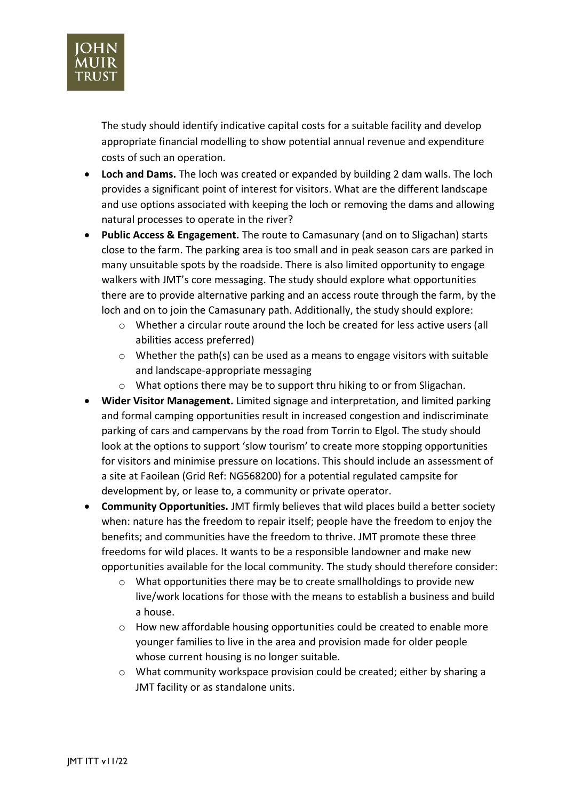

The study should identify indicative capital costs for a suitable facility and develop appropriate financial modelling to show potential annual revenue and expenditure costs of such an operation.

- **Loch and Dams.** The loch was created or expanded by building 2 dam walls. The loch provides a significant point of interest for visitors. What are the different landscape and use options associated with keeping the loch or removing the dams and allowing natural processes to operate in the river?
- **Public Access & Engagement.** The route to Camasunary (and on to Sligachan) starts close to the farm. The parking area is too small and in peak season cars are parked in many unsuitable spots by the roadside. There is also limited opportunity to engage walkers with JMT's core messaging. The study should explore what opportunities there are to provide alternative parking and an access route through the farm, by the loch and on to join the Camasunary path. Additionally, the study should explore:
	- o Whether a circular route around the loch be created for less active users (all abilities access preferred)
	- $\circ$  Whether the path(s) can be used as a means to engage visitors with suitable and landscape-appropriate messaging
	- $\circ$  What options there may be to support thru hiking to or from Sligachan.
- **Wider Visitor Management.** Limited signage and interpretation, and limited parking and formal camping opportunities result in increased congestion and indiscriminate parking of cars and campervans by the road from Torrin to Elgol. The study should look at the options to support 'slow tourism' to create more stopping opportunities for visitors and minimise pressure on locations. This should include an assessment of a site at Faoilean (Grid Ref: NG568200) for a potential regulated campsite for development by, or lease to, a community or private operator.
- **Community Opportunities.** JMT firmly believes that wild places build a better society when: nature has the freedom to repair itself; people have the freedom to enjoy the benefits; and communities have the freedom to thrive. JMT promote these three freedoms for wild places. It wants to be a responsible landowner and make new opportunities available for the local community. The study should therefore consider:
	- $\circ$  What opportunities there may be to create smallholdings to provide new live/work locations for those with the means to establish a business and build a house.
	- o How new affordable housing opportunities could be created to enable more younger families to live in the area and provision made for older people whose current housing is no longer suitable.
	- o What community workspace provision could be created; either by sharing a JMT facility or as standalone units.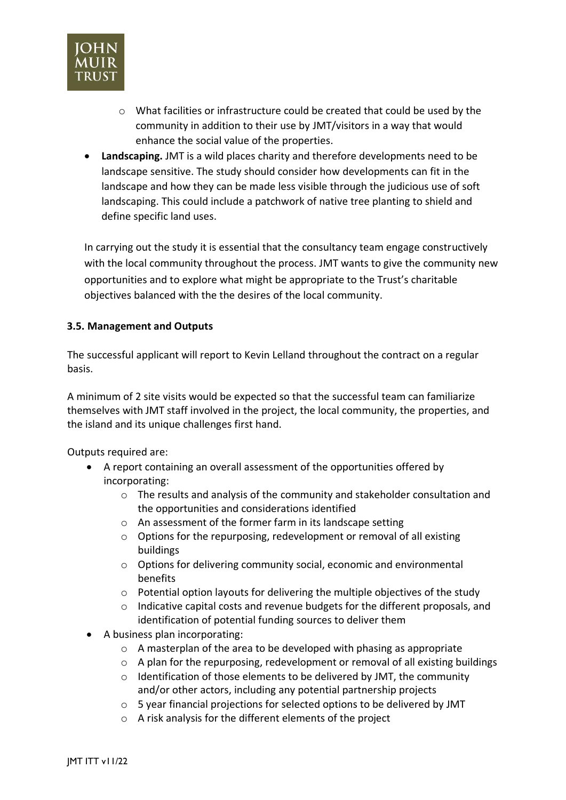

- $\circ$  What facilities or infrastructure could be created that could be used by the community in addition to their use by JMT/visitors in a way that would enhance the social value of the properties.
- **Landscaping.** JMT is a wild places charity and therefore developments need to be landscape sensitive. The study should consider how developments can fit in the landscape and how they can be made less visible through the judicious use of soft landscaping. This could include a patchwork of native tree planting to shield and define specific land uses.

In carrying out the study it is essential that the consultancy team engage constructively with the local community throughout the process. JMT wants to give the community new opportunities and to explore what might be appropriate to the Trust's charitable objectives balanced with the the desires of the local community.

## **3.5. Management and Outputs**

The successful applicant will report to Kevin Lelland throughout the contract on a regular basis.

A minimum of 2 site visits would be expected so that the successful team can familiarize themselves with JMT staff involved in the project, the local community, the properties, and the island and its unique challenges first hand.

Outputs required are:

- A report containing an overall assessment of the opportunities offered by incorporating:
	- o The results and analysis of the community and stakeholder consultation and the opportunities and considerations identified
	- o An assessment of the former farm in its landscape setting
	- o Options for the repurposing, redevelopment or removal of all existing buildings
	- o Options for delivering community social, economic and environmental benefits
	- $\circ$  Potential option layouts for delivering the multiple objectives of the study
	- $\circ$  Indicative capital costs and revenue budgets for the different proposals, and identification of potential funding sources to deliver them
- A business plan incorporating:
	- o A masterplan of the area to be developed with phasing as appropriate
	- o A plan for the repurposing, redevelopment or removal of all existing buildings
	- $\circ$  Identification of those elements to be delivered by JMT, the community and/or other actors, including any potential partnership projects
	- o 5 year financial projections for selected options to be delivered by JMT
	- o A risk analysis for the different elements of the project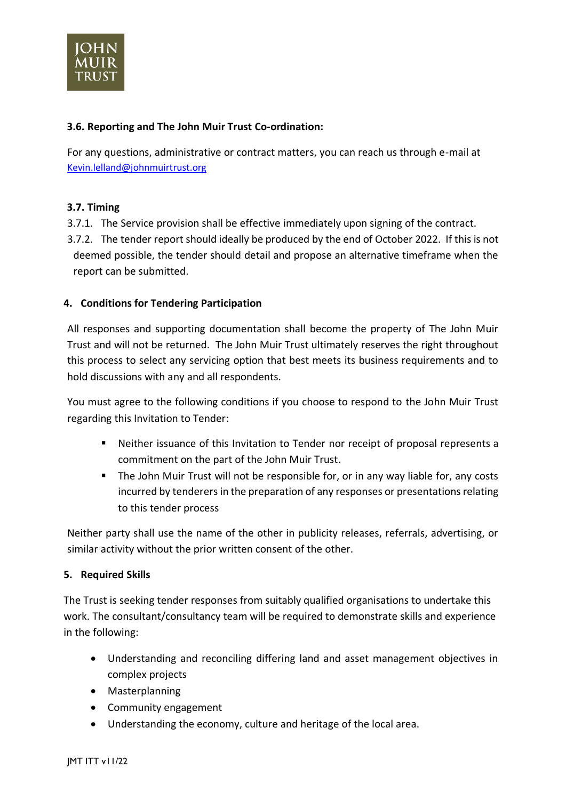

## **3.6. Reporting and The John Muir Trust Co-ordination:**

For any questions, administrative or contract matters, you can reach us through e-mail at [Kevin.lelland@johnmuirtrust.org](mailto:Kevin.lelland@johnmuirtrust.org)

## **3.7. Timing**

- 3.7.1. The Service provision shall be effective immediately upon signing of the contract.
- 3.7.2. The tender report should ideally be produced by the end of October 2022. If this is not deemed possible, the tender should detail and propose an alternative timeframe when the report can be submitted.

## **4. Conditions for Tendering Participation**

All responses and supporting documentation shall become the property of The John Muir Trust and will not be returned. The John Muir Trust ultimately reserves the right throughout this process to select any servicing option that best meets its business requirements and to hold discussions with any and all respondents.

You must agree to the following conditions if you choose to respond to the John Muir Trust regarding this Invitation to Tender:

- Neither issuance of this Invitation to Tender nor receipt of proposal represents a commitment on the part of the John Muir Trust.
- The John Muir Trust will not be responsible for, or in any way liable for, any costs incurred by tenderers in the preparation of any responses or presentations relating to this tender process

Neither party shall use the name of the other in publicity releases, referrals, advertising, or similar activity without the prior written consent of the other.

### **5. Required Skills**

The Trust is seeking tender responses from suitably qualified organisations to undertake this work. The consultant/consultancy team will be required to demonstrate skills and experience in the following:

- Understanding and reconciling differing land and asset management objectives in complex projects
- Masterplanning
- Community engagement
- Understanding the economy, culture and heritage of the local area.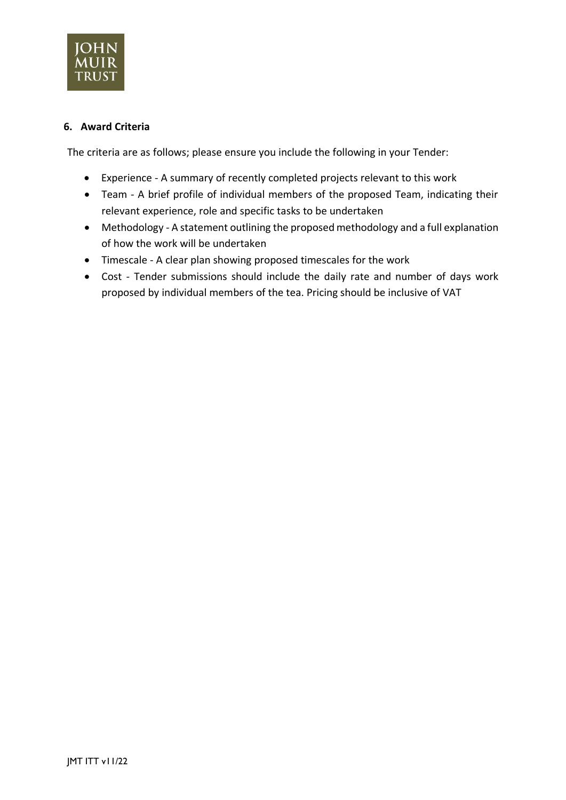

## **6. Award Criteria**

The criteria are as follows; please ensure you include the following in your Tender:

- Experience A summary of recently completed projects relevant to this work
- Team A brief profile of individual members of the proposed Team, indicating their relevant experience, role and specific tasks to be undertaken
- Methodology A statement outlining the proposed methodology and a full explanation of how the work will be undertaken
- Timescale A clear plan showing proposed timescales for the work
- Cost Tender submissions should include the daily rate and number of days work proposed by individual members of the tea. Pricing should be inclusive of VAT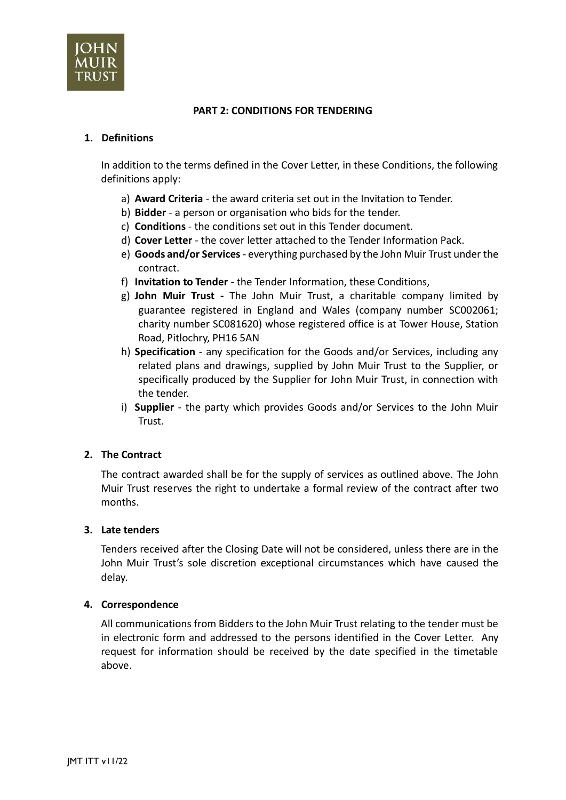

### **PART 2: CONDITIONS FOR TENDERING**

### **1. Definitions**

In addition to the terms defined in the Cover Letter, in these Conditions, the following definitions apply:

- a) **Award Criteria** the award criteria set out in the Invitation to Tender.
- b) **Bidder** a person or organisation who bids for the tender.
- c) **Conditions** the conditions set out in this Tender document.
- d) **Cover Letter** the cover letter attached to the Tender Information Pack.
- e) **Goods and/or Services**  everything purchased by the John Muir Trust under the contract.
- f) **Invitation to Tender** the Tender Information, these Conditions,
- g) **John Muir Trust -** The John Muir Trust, a charitable company limited by guarantee registered in England and Wales (company number SC002061; charity number SC081620) whose registered office is at Tower House, Station Road, Pitlochry, PH16 5AN
- h) **Specification** any specification for the Goods and/or Services, including any related plans and drawings, supplied by John Muir Trust to the Supplier, or specifically produced by the Supplier for John Muir Trust, in connection with the tender.
- i) **Supplier** the party which provides Goods and/or Services to the John Muir Trust.

### **2. The Contract**

The contract awarded shall be for the supply of services as outlined above. The John Muir Trust reserves the right to undertake a formal review of the contract after two months.

### **3. Late tenders**

Tenders received after the Closing Date will not be considered, unless there are in the John Muir Trust's sole discretion exceptional circumstances which have caused the delay.

#### **4. Correspondence**

All communications from Bidders to the John Muir Trust relating to the tender must be in electronic form and addressed to the persons identified in the Cover Letter. Any request for information should be received by the date specified in the timetable above.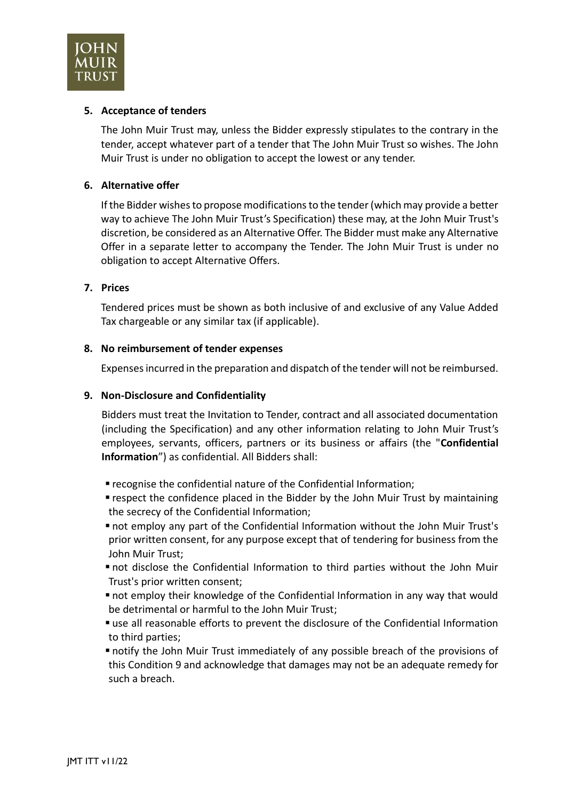

### **5. Acceptance of tenders**

The John Muir Trust may, unless the Bidder expressly stipulates to the contrary in the tender, accept whatever part of a tender that The John Muir Trust so wishes. The John Muir Trust is under no obligation to accept the lowest or any tender.

### **6. Alternative offer**

If the Bidder wishes to propose modifications to the tender (which may provide a better way to achieve The John Muir Trust's Specification) these may, at the John Muir Trust's discretion, be considered as an Alternative Offer. The Bidder must make any Alternative Offer in a separate letter to accompany the Tender. The John Muir Trust is under no obligation to accept Alternative Offers.

## **7. Prices**

Tendered prices must be shown as both inclusive of and exclusive of any Value Added Tax chargeable or any similar tax (if applicable).

## **8. No reimbursement of tender expenses**

Expenses incurred in the preparation and dispatch of the tender will not be reimbursed.

## **9. Non-Disclosure and Confidentiality**

Bidders must treat the Invitation to Tender, contract and all associated documentation (including the Specification) and any other information relating to John Muir Trust's employees, servants, officers, partners or its business or affairs (the "**Confidential Information**") as confidential. All Bidders shall:

- recognise the confidential nature of the Confidential Information;
- respect the confidence placed in the Bidder by the John Muir Trust by maintaining the secrecy of the Confidential Information;
- not employ any part of the Confidential Information without the John Muir Trust's prior written consent, for any purpose except that of tendering for business from the John Muir Trust;
- not disclose the Confidential Information to third parties without the John Muir Trust's prior written consent;
- not employ their knowledge of the Confidential Information in any way that would be detrimental or harmful to the John Muir Trust;
- use all reasonable efforts to prevent the disclosure of the Confidential Information to third parties;
- notify the John Muir Trust immediately of any possible breach of the provisions of this Condition 9 and acknowledge that damages may not be an adequate remedy for such a breach.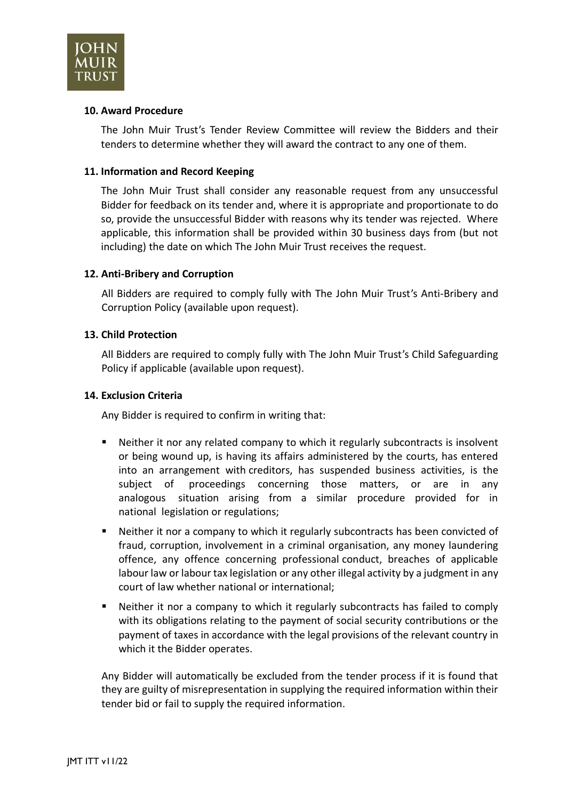

### **10. Award Procedure**

The John Muir Trust's Tender Review Committee will review the Bidders and their tenders to determine whether they will award the contract to any one of them.

### **11. Information and Record Keeping**

The John Muir Trust shall consider any reasonable request from any unsuccessful Bidder for feedback on its tender and, where it is appropriate and proportionate to do so, provide the unsuccessful Bidder with reasons why its tender was rejected. Where applicable, this information shall be provided within 30 business days from (but not including) the date on which The John Muir Trust receives the request.

## **12. Anti-Bribery and Corruption**

All Bidders are required to comply fully with The John Muir Trust's Anti-Bribery and Corruption Policy (available upon request).

### **13. Child Protection**

All Bidders are required to comply fully with The John Muir Trust's Child Safeguarding Policy if applicable (available upon request).

### **14. Exclusion Criteria**

Any Bidder is required to confirm in writing that:

- Neither it nor any related company to which it regularly subcontracts is insolvent or being wound up, is having its affairs administered by the courts, has entered into an arrangement with creditors, has suspended business activities, is the subject of proceedings concerning those matters, or are in any analogous situation arising from a similar procedure provided for in national legislation or regulations;
- Neither it nor a company to which it regularly subcontracts has been convicted of fraud, corruption, involvement in a criminal organisation, any money laundering offence, any offence concerning professional conduct, breaches of applicable labour law or labour tax legislation or any other illegal activity by a judgment in any court of law whether national or international;
- Neither it nor a company to which it regularly subcontracts has failed to comply with its obligations relating to the payment of social security contributions or the payment of taxes in accordance with the legal provisions of the relevant country in which it the Bidder operates.

Any Bidder will automatically be excluded from the tender process if it is found that they are guilty of misrepresentation in supplying the required information within their tender bid or fail to supply the required information.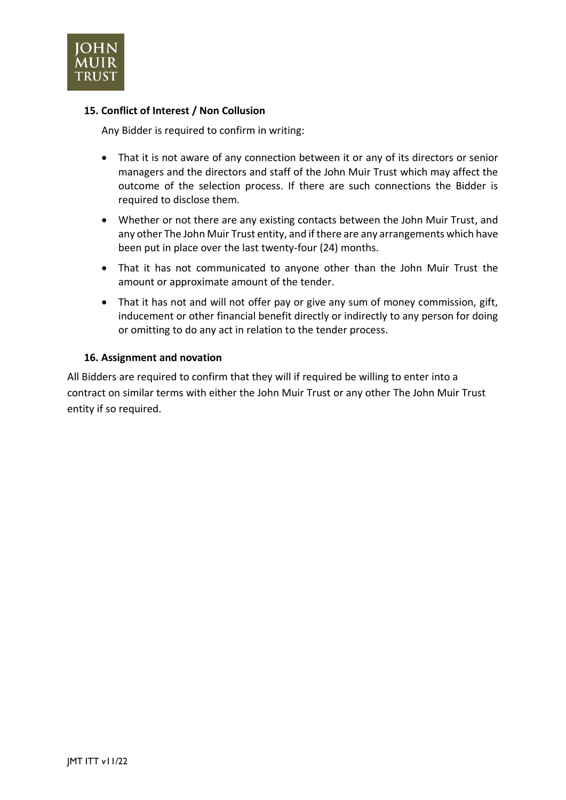

## **15. Conflict of Interest / Non Collusion**

Any Bidder is required to confirm in writing:

- That it is not aware of any connection between it or any of its directors or senior managers and the directors and staff of the John Muir Trust which may affect the outcome of the selection process. If there are such connections the Bidder is required to disclose them.
- Whether or not there are any existing contacts between the John Muir Trust, and any other The John Muir Trust entity, and if there are any arrangements which have been put in place over the last twenty-four (24) months.
- That it has not communicated to anyone other than the John Muir Trust the amount or approximate amount of the tender.
- That it has not and will not offer pay or give any sum of money commission, gift, inducement or other financial benefit directly or indirectly to any person for doing or omitting to do any act in relation to the tender process.

### **16. Assignment and novation**

All Bidders are required to confirm that they will if required be willing to enter into a contract on similar terms with either the John Muir Trust or any other The John Muir Trust entity if so required.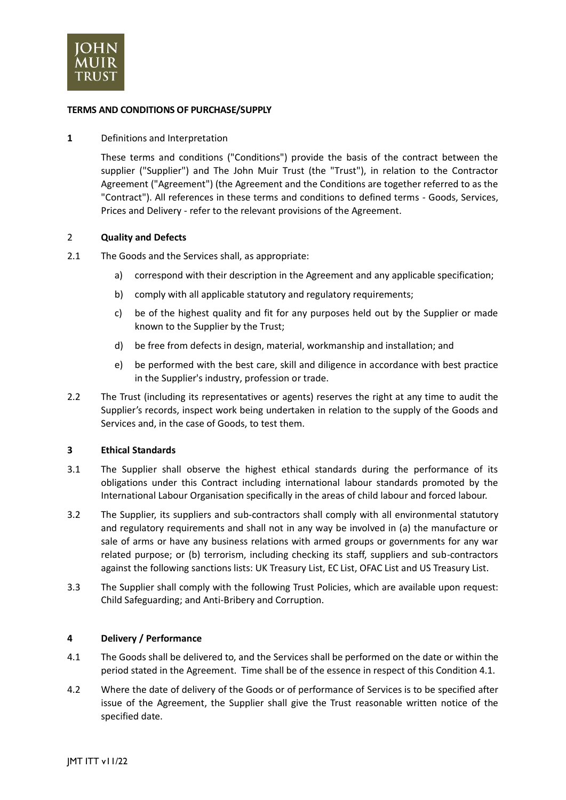

#### **TERMS AND CONDITIONS OF PURCHASE/SUPPLY**

#### **1** Definitions and Interpretation

These terms and conditions ("Conditions") provide the basis of the contract between the supplier ("Supplier") and The John Muir Trust (the "Trust"), in relation to the Contractor Agreement ("Agreement") (the Agreement and the Conditions are together referred to as the "Contract"). All references in these terms and conditions to defined terms - Goods, Services, Prices and Delivery - refer to the relevant provisions of the Agreement.

#### 2 **Quality and Defects**

- 2.1 The Goods and the Services shall, as appropriate:
	- a) correspond with their description in the Agreement and any applicable specification;
	- b) comply with all applicable statutory and regulatory requirements;
	- c) be of the highest quality and fit for any purposes held out by the Supplier or made known to the Supplier by the Trust;
	- d) be free from defects in design, material, workmanship and installation; and
	- e) be performed with the best care, skill and diligence in accordance with best practice in the Supplier's industry, profession or trade.
- 2.2 The Trust (including its representatives or agents) reserves the right at any time to audit the Supplier's records, inspect work being undertaken in relation to the supply of the Goods and Services and, in the case of Goods, to test them.

#### **3 Ethical Standards**

- 3.1 The Supplier shall observe the highest ethical standards during the performance of its obligations under this Contract including international labour standards promoted by the International Labour Organisation specifically in the areas of child labour and forced labour.
- 3.2 The Supplier, its suppliers and sub-contractors shall comply with all environmental statutory and regulatory requirements and shall not in any way be involved in (a) the manufacture or sale of arms or have any business relations with armed groups or governments for any war related purpose; or (b) terrorism, including checking its staff, suppliers and sub-contractors against the following sanctions lists: UK Treasury List, EC List, OFAC List and US Treasury List.
- 3.3 The Supplier shall comply with the following Trust Policies, which are available upon request: Child Safeguarding; and Anti-Bribery and Corruption.

#### **4 Delivery / Performance**

- 4.1 The Goods shall be delivered to, and the Services shall be performed on the date or within the period stated in the Agreement. Time shall be of the essence in respect of this Condition 4.1.
- 4.2 Where the date of delivery of the Goods or of performance of Services is to be specified after issue of the Agreement, the Supplier shall give the Trust reasonable written notice of the specified date.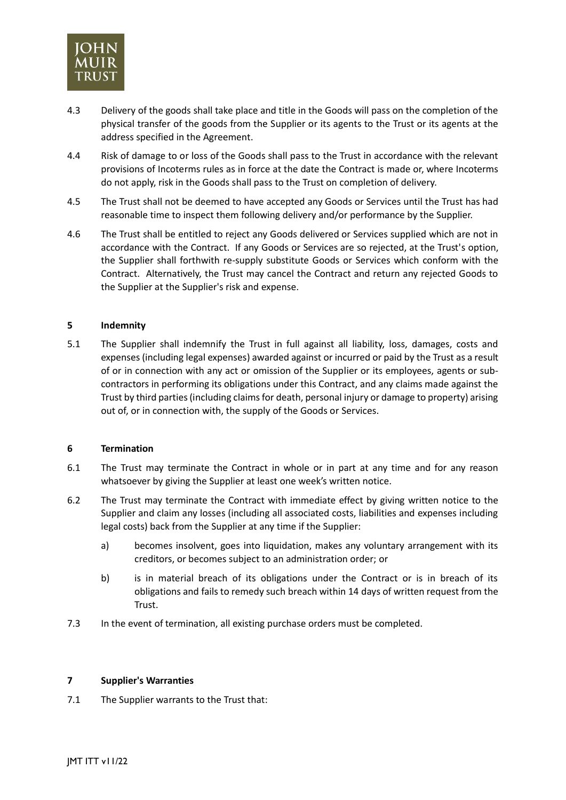

- 4.3 Delivery of the goods shall take place and title in the Goods will pass on the completion of the physical transfer of the goods from the Supplier or its agents to the Trust or its agents at the address specified in the Agreement.
- 4.4 Risk of damage to or loss of the Goods shall pass to the Trust in accordance with the relevant provisions of Incoterms rules as in force at the date the Contract is made or, where Incoterms do not apply, risk in the Goods shall pass to the Trust on completion of delivery.
- 4.5 The Trust shall not be deemed to have accepted any Goods or Services until the Trust has had reasonable time to inspect them following delivery and/or performance by the Supplier.
- 4.6 The Trust shall be entitled to reject any Goods delivered or Services supplied which are not in accordance with the Contract. If any Goods or Services are so rejected, at the Trust's option, the Supplier shall forthwith re-supply substitute Goods or Services which conform with the Contract. Alternatively, the Trust may cancel the Contract and return any rejected Goods to the Supplier at the Supplier's risk and expense.

#### **5 Indemnity**

5.1 The Supplier shall indemnify the Trust in full against all liability, loss, damages, costs and expenses (including legal expenses) awarded against or incurred or paid by the Trust as a result of or in connection with any act or omission of the Supplier or its employees, agents or subcontractors in performing its obligations under this Contract, and any claims made against the Trust by third parties (including claims for death, personal injury or damage to property) arising out of, or in connection with, the supply of the Goods or Services.

#### **6 Termination**

- 6.1 The Trust may terminate the Contract in whole or in part at any time and for any reason whatsoever by giving the Supplier at least one week's written notice.
- 6.2 The Trust may terminate the Contract with immediate effect by giving written notice to the Supplier and claim any losses (including all associated costs, liabilities and expenses including legal costs) back from the Supplier at any time if the Supplier:
	- a) becomes insolvent, goes into liquidation, makes any voluntary arrangement with its creditors, or becomes subject to an administration order; or
	- b) is in material breach of its obligations under the Contract or is in breach of its obligations and fails to remedy such breach within 14 days of written request from the Trust.
- 7.3 In the event of termination, all existing purchase orders must be completed.

#### **7 Supplier's Warranties**

7.1 The Supplier warrants to the Trust that: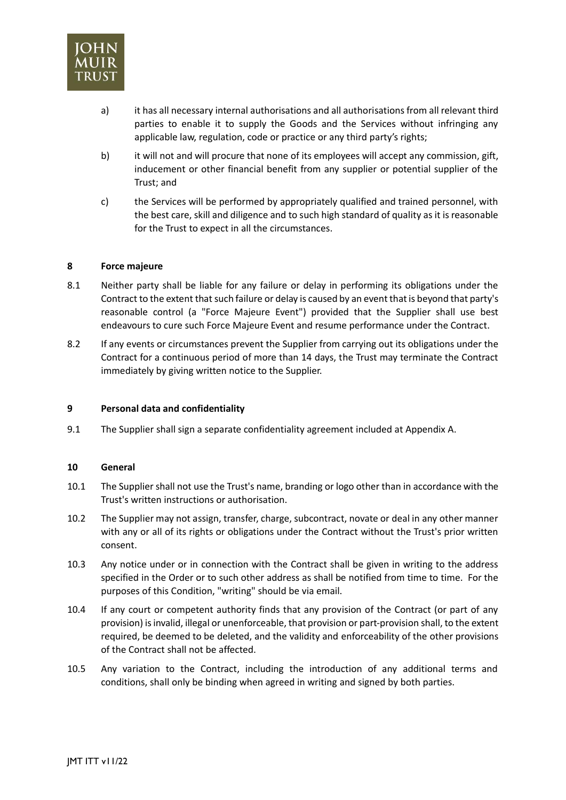

- a) it has all necessary internal authorisations and all authorisations from all relevant third parties to enable it to supply the Goods and the Services without infringing any applicable law, regulation, code or practice or any third party's rights;
- b) it will not and will procure that none of its employees will accept any commission, gift, inducement or other financial benefit from any supplier or potential supplier of the Trust; and
- c) the Services will be performed by appropriately qualified and trained personnel, with the best care, skill and diligence and to such high standard of quality as it is reasonable for the Trust to expect in all the circumstances.

#### **8 Force majeure**

- 8.1 Neither party shall be liable for any failure or delay in performing its obligations under the Contract to the extent that such failure or delay is caused by an event that is beyond that party's reasonable control (a "Force Majeure Event") provided that the Supplier shall use best endeavours to cure such Force Majeure Event and resume performance under the Contract.
- 8.2 If any events or circumstances prevent the Supplier from carrying out its obligations under the Contract for a continuous period of more than 14 days, the Trust may terminate the Contract immediately by giving written notice to the Supplier.

#### **9 Personal data and confidentiality**

9.1 The Supplier shall sign a separate confidentiality agreement included at Appendix A.

#### **10 General**

- 10.1 The Supplier shall not use the Trust's name, branding or logo other than in accordance with the Trust's written instructions or authorisation.
- 10.2 The Supplier may not assign, transfer, charge, subcontract, novate or deal in any other manner with any or all of its rights or obligations under the Contract without the Trust's prior written consent.
- 10.3 Any notice under or in connection with the Contract shall be given in writing to the address specified in the Order or to such other address as shall be notified from time to time. For the purposes of this Condition, "writing" should be via email.
- 10.4 If any court or competent authority finds that any provision of the Contract (or part of any provision) is invalid, illegal or unenforceable, that provision or part-provision shall, to the extent required, be deemed to be deleted, and the validity and enforceability of the other provisions of the Contract shall not be affected.
- 10.5 Any variation to the Contract, including the introduction of any additional terms and conditions, shall only be binding when agreed in writing and signed by both parties.